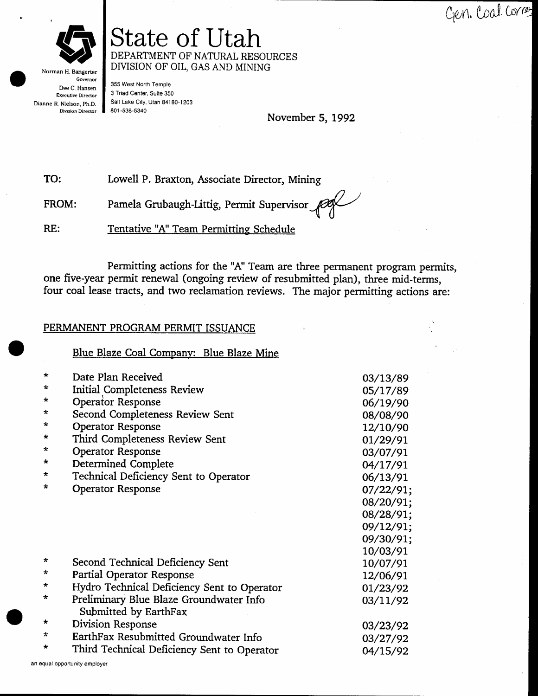Gen. Coal. Correz



Norman H. Bangerter Governor Dee C. Hansen **Executive Director** Dianne R. Nielson, Ph.D. Division Director

355 West North Temple 3 Triad Center, Suite 350 Salt Lake City, Utah 84180-1203 801-538-5340

November 5, 1992

TO: Lowell P. Braxton, Associate Director, Mining

State of Utah

DIVISION OF OIL, GAS AND MINING

DEPARTMENT OF NATURAL RESOURCES

Pamela Grubaugh-Littig, Permit Supervisor FROM:

RE: Tentative "A" Team Permitting Schedule

Permitting actions for the "A" Team are three permanent program permits, one five-year permit renewal (ongoing review of resubmitted plan), three mid-terms, four coal lease tracts, and two reclamation reviews. The major permitting actions are:

#### PERMANENT PROGRAM PERMIT ISSUANCE

Blue Blaze Coal Company: Blue Blaze Mine

| $\star$ | Date Plan Received                          | 03/13/89  |
|---------|---------------------------------------------|-----------|
| $\star$ | Initial Completeness Review                 | 05/17/89  |
| $\star$ | Operator Response                           | 06/19/90  |
| $\star$ | Second Completeness Review Sent             | 08/08/90  |
| $\star$ | <b>Operator Response</b>                    | 12/10/90  |
| $\star$ | Third Completeness Review Sent              | 01/29/91  |
| $\star$ | <b>Operator Response</b>                    | 03/07/91  |
| $\star$ | Determined Complete                         | 04/17/91  |
| $\star$ | Technical Deficiency Sent to Operator       | 06/13/91  |
| $\star$ | <b>Operator Response</b>                    | 07/22/91; |
|         |                                             | 08/20/91; |
|         |                                             | 08/28/91; |
|         |                                             | 09/12/91; |
|         |                                             | 09/30/91; |
|         |                                             | 10/03/91  |
| $\star$ | Second Technical Deficiency Sent            | 10/07/91  |
| $\star$ | Partial Operator Response                   | 12/06/91  |
| $\star$ | Hydro Technical Deficiency Sent to Operator | 01/23/92  |
| $\star$ | Preliminary Blue Blaze Groundwater Info     | 03/11/92  |
|         | Submitted by EarthFax                       |           |
| $\star$ | Division Response                           |           |
| $\star$ | EarthFax Resubmitted Groundwater Info       | 03/23/92  |
| $\star$ | Third Technical Deficiency Sent to Operator | 03/27/92  |
|         |                                             | 04/15/92  |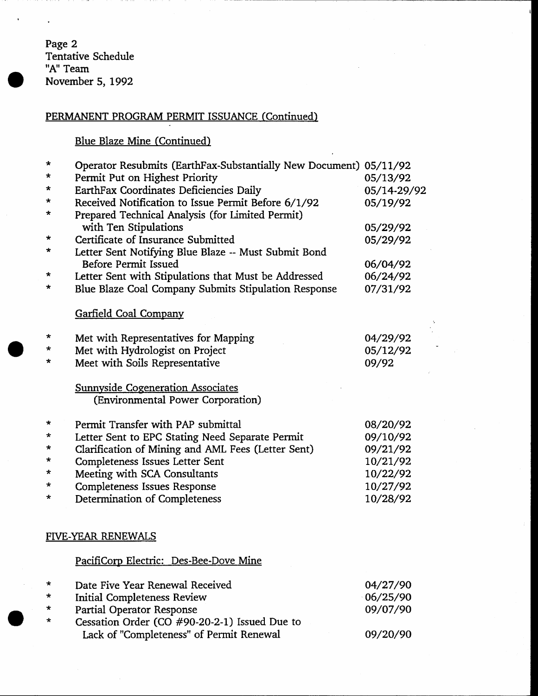Page 2<br>Tentative Schedule<br>"A" Team November 5, 1992

## PERMANENT PROGRAM PERMIT ISSUANCE (Continued)

# Blue Blaze Mine (Continued)

| $\star$<br>$\star$ | Operator Resubmits (EarthFax-Substantially New Document) 05/11/92<br>Permit Put on Highest Priority | 05/13/92    |
|--------------------|-----------------------------------------------------------------------------------------------------|-------------|
| *                  | EarthFax Coordinates Deficiencies Daily                                                             | 05/14-29/92 |
| $\star$            | Received Notification to Issue Permit Before 6/1/92                                                 | 05/19/92    |
| *                  | Prepared Technical Analysis (for Limited Permit)                                                    |             |
|                    | with Ten Stipulations                                                                               | 05/29/92    |
| *                  | Certificate of Insurance Submitted                                                                  | 05/29/92    |
| $\star$            | Letter Sent Notifying Blue Blaze -- Must Submit Bond                                                |             |
|                    | <b>Before Permit Issued</b>                                                                         | 06/04/92    |
| *                  | Letter Sent with Stipulations that Must be Addressed                                                | 06/24/92    |
| *                  | Blue Blaze Coal Company Submits Stipulation Response                                                | 07/31/92    |
|                    |                                                                                                     |             |
|                    | <b>Garfield Coal Company</b>                                                                        |             |
| $\star$            | Met with Representatives for Mapping                                                                | 04/29/92    |
| $\star$            | Met with Hydrologist on Project                                                                     | 05/12/92    |
| $\star$            | Meet with Soils Representative                                                                      | 09/92       |
|                    |                                                                                                     |             |
|                    | <b>Sunnyside Cogeneration Associates</b>                                                            |             |
|                    | (Environmental Power Corporation)                                                                   |             |
| *                  | Permit Transfer with PAP submittal                                                                  | 08/20/92    |
| *                  | Letter Sent to EPC Stating Need Separate Permit                                                     | 09/10/92    |
| *                  | Clarification of Mining and AML Fees (Letter Sent)                                                  | 09/21/92    |
| *                  | Completeness Issues Letter Sent                                                                     | 10/21/92    |
| ÷.                 | Meeting with SCA Consultants                                                                        | 10/22/92    |
| ÷                  | <b>Completeness Issues Response</b>                                                                 | 10/27/92    |
| *                  | Determination of Completeness                                                                       | 10/28/92    |
|                    |                                                                                                     |             |
|                    | <b>FIVE-YEAR RENEWALS</b>                                                                           |             |
|                    | PacifiCorp Electric: Des-Bee-Dove Mine                                                              |             |
|                    |                                                                                                     |             |
| $\star$            | Date Five Year Renewal Received                                                                     | 04/27/90    |
| *                  | <b>Initial Completeness Review</b>                                                                  | 06/25/90    |
| *                  | Partial Operator Response                                                                           | 09/07/90    |
| *                  | Cessation Order (CO #90-20-2-1) Issued Due to                                                       |             |
|                    | Lack of "Completeness" of Permit Renewal                                                            | 09/20/90    |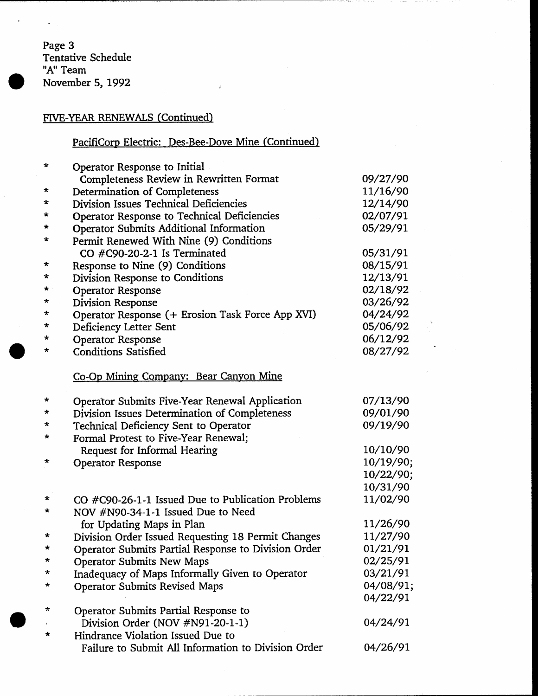Page 3<br>Tentative Schedule "A" Team November 5, 1992

 $\overline{a}$ 

## FIVE-YEAR RENEWALS (Continued)

# PacifiCorp Electric: Des-Bee-Dove Mine (Continued)

| $\star$      | Operator Response to Initial                        |           |
|--------------|-----------------------------------------------------|-----------|
|              | Completeness Review in Rewritten Format             | 09/27/90  |
| $\ast$       | Determination of Completeness                       | 11/16/90  |
| $\star$      | Division Issues Technical Deficiencies              | 12/14/90  |
| $\star$      | Operator Response to Technical Deficiencies         | 02/07/91  |
| *            | Operator Submits Additional Information             | 05/29/91  |
| *            | Permit Renewed With Nine (9) Conditions             |           |
|              | CO #C90-20-2-1 Is Terminated                        | 05/31/91  |
| $\star$      | Response to Nine (9) Conditions                     | 08/15/91  |
| $\star$      | Division Response to Conditions                     | 12/13/91  |
| $\star$ .    | <b>Operator Response</b>                            | 02/18/92  |
| *            | Division Response                                   | 03/26/92  |
| $\star$      | Operator Response (+ Erosion Task Force App XVI)    | 04/24/92  |
| $\star$      | Deficiency Letter Sent                              | 05/06/92  |
| *            | <b>Operator Response</b>                            | 06/12/92  |
| *            | <b>Conditions Satisfied</b>                         | 08/27/92  |
|              | Co-Op Mining Company: Bear Canyon Mine              |           |
| *            | Operator Submits Five-Year Renewal Application      | 07/13/90  |
| $\star$      | Division Issues Determination of Completeness       | 09/01/90  |
| $\pmb{\ast}$ | Technical Deficiency Sent to Operator               | 09/19/90  |
| *            | Formal Protest to Five-Year Renewal;                |           |
|              | Request for Informal Hearing                        | 10/10/90  |
| $\star$      | <b>Operator Response</b>                            | 10/19/90; |
|              |                                                     | 10/22/90; |
|              |                                                     | 10/31/90  |
| *            | CO #C90-26-1-1 Issued Due to Publication Problems   | 11/02/90  |
| *            | NOV #N90-34-1-1 Issued Due to Need                  |           |
|              | for Updating Maps in Plan                           | 11/26/90  |
| $\star$      | Division Order Issued Requesting 18 Permit Changes  | 11/27/90  |
| ÷            | Operator Submits Partial Response to Division Order | 01/21/91  |
| $\star$      | <b>Operator Submits New Maps</b>                    | 02/25/91  |
| *            | Inadequacy of Maps Informally Given to Operator     | 03/21/91  |
| *            | <b>Operator Submits Revised Maps</b>                | 04/08/91; |
|              |                                                     | 04/22/91  |
| *            | Operator Submits Partial Response to                |           |
|              | Division Order (NOV #N91-20-1-1)                    | 04/24/91  |
| *            | Hindrance Violation Issued Due to                   |           |
|              | Failure to Submit All Information to Division Order | 04/26/91  |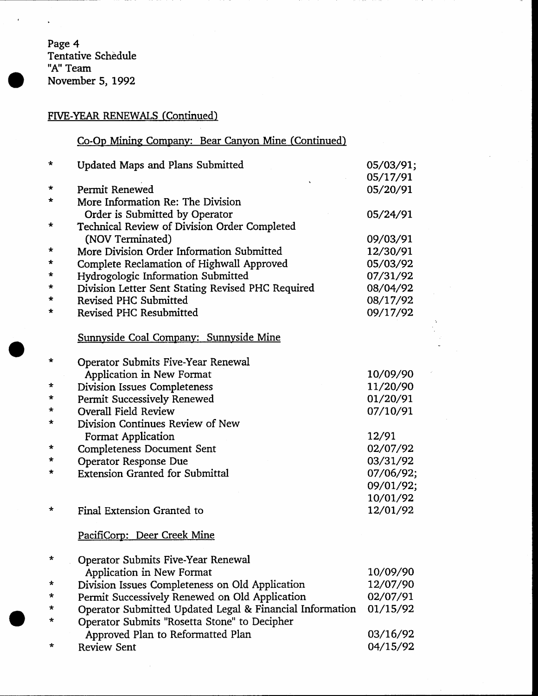Page 4<br>Tentative Schedule "A" Team November 5, 1992

 $\ddot{\phantom{0}}$ 

## FIVE-YEAR RENEWALS (Continued)

## Co-Op Mining Company: Bear Canyon Mine (Continued)

| $\star$ | <b>Updated Maps and Plans Submitted</b>                  | 05/03/91; |
|---------|----------------------------------------------------------|-----------|
|         |                                                          | 05/17/91  |
| *       | Permit Renewed                                           | 05/20/91  |
| *       | More Information Re: The Division                        |           |
|         | Order is Submitted by Operator                           | 05/24/91  |
| *       | Technical Review of Division Order Completed             |           |
|         | (NOV Terminated)                                         | 09/03/91  |
| *       | More Division Order Information Submitted                | 12/30/91  |
| *       | Complete Reclamation of Highwall Approved                | 05/03/92  |
| *       | Hydrogologic Information Submitted                       | 07/31/92  |
| $\star$ | Division Letter Sent Stating Revised PHC Required        | 08/04/92  |
| *       | Revised PHC Submitted                                    | 08/17/92  |
| *       | Revised PHC Resubmitted                                  | 09/17/92  |
|         | Sunnyside Coal Company: Sunnyside Mine                   |           |
| *       | <b>Operator Submits Five-Year Renewal</b>                |           |
|         | Application in New Format                                | 10/09/90  |
| *       | <b>Division Issues Completeness</b>                      | 11/20/90  |
| *       | Permit Successively Renewed                              | 01/20/91  |
| *       | <b>Overall Field Review</b>                              | 07/10/91  |
| *       | Division Continues Review of New                         |           |
|         | Format Application                                       | 12/91     |
| *       | <b>Completeness Document Sent</b>                        | 02/07/92  |
| ∗       | <b>Operator Response Due</b>                             | 03/31/92  |
| *       | <b>Extension Granted for Submittal</b>                   | 07/06/92; |
|         |                                                          | 09/01/92; |
|         |                                                          | 10/01/92  |
| *       | Final Extension Granted to                               | 12/01/92  |
|         | PacifiCorp: Deer Creek Mine                              |           |
| *       | Operator Submits Five-Year Renewal                       |           |
|         | Application in New Format                                | 10/09/90  |
| *       | Division Issues Completeness on Old Application          | 12/07/90  |
| *       | Permit Successively Renewed on Old Application           | 02/07/91  |
| *       | Operator Submitted Updated Legal & Financial Information | 01/15/92  |
| $\star$ | Operator Submits "Rosetta Stone" to Decipher             |           |
|         | Approved Plan to Reformatted Plan                        | 03/16/92  |
| *       | <b>Review Sent</b>                                       | 04/15/92  |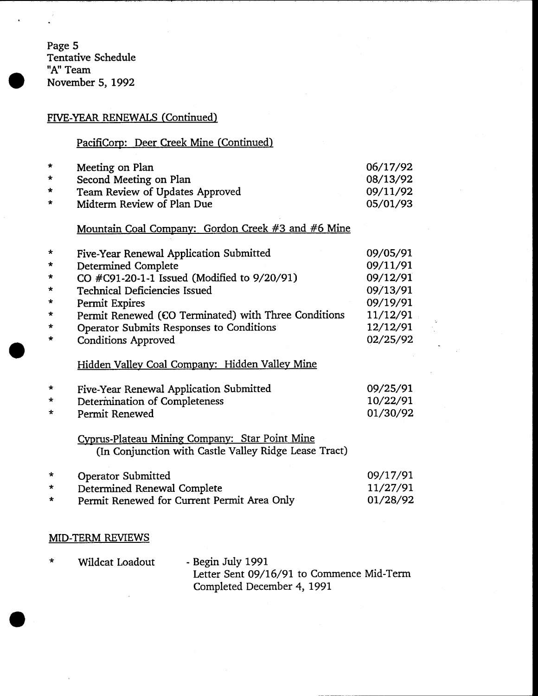Page 5 Tentative Schedule "A" Team November 5, 1992

## FIVE-YEAR RENEWALS (Continued)

## PacifiCorp: Deer Creek Mine (Continued)

| $\star$ | Meeting on Plan                 | 06/17/92 |
|---------|---------------------------------|----------|
| $\star$ | Second Meeting on Plan          | 08/13/92 |
| $\star$ | Team Review of Updates Approved | 09/11/92 |
| $\star$ | Midterm Review of Plan Due      | 05/01/93 |

### Mountain Coal Company: Gordon Creek #3 and #6 Mine

| ×       | Five-Year Renewal Application Submitted              | 09/05/91 |
|---------|------------------------------------------------------|----------|
| $\star$ | <b>Determined Complete</b>                           | 09/11/91 |
|         | CO #C91-20-1-1 Issued (Modified to 9/20/91)          | 09/12/91 |
| $\star$ | <b>Technical Deficiencies Issued</b>                 | 09/13/91 |
| $\star$ | Permit Expires                                       | 09/19/91 |
| $\star$ | Permit Renewed (CO Terminated) with Three Conditions | 11/12/91 |
| $\star$ | Operator Submits Responses to Conditions             | 12/12/91 |
| $\star$ | <b>Conditions Approved</b>                           | 02/25/92 |
|         |                                                      |          |

## Hidden Valley Coal Company: Hidden Valley Mine

| $\star$ | Five-Year Renewal Application Submitted | 09/25/91 |
|---------|-----------------------------------------|----------|
| $\star$ | Determination of Completeness           | 10/22/91 |
| $\star$ | Permit Renewed                          | 01/30/92 |

Cyprus-Plateau Mining Company: Star Point Mine (In Conjunction with Castle Valley Ridge Lease Tract)

| $\star$ | <b>Operator Submitted</b>                   | 09/17/91 |
|---------|---------------------------------------------|----------|
| $\star$ | Determined Renewal Complete                 | 11/27/91 |
| $\star$ | Permit Renewed for Current Permit Area Only | 01/28/92 |

#### **MID-TERM REVIEWS**

| $\star$ | Wildcat Loadout | - Begin July 1991                         |
|---------|-----------------|-------------------------------------------|
|         |                 | Letter Sent 09/16/91 to Commence Mid-Term |
|         |                 | Completed December 4, 1991                |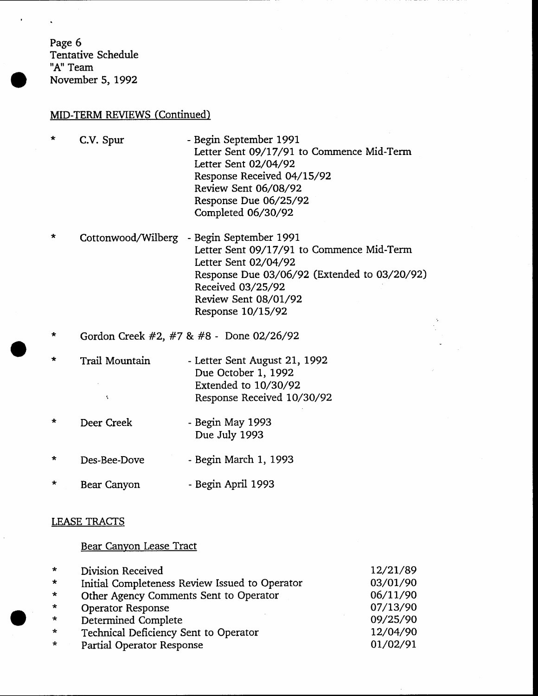Page 6 Tentative Schedule "A" Team November 5, 1992

#### MID-TERM REVIEWS (Continued)

- \* C.V. Spur - Begin September 1991 Letter Sent O9/I7/91 to Commence Mid-Term Letter Sent O2/O4/92 Response Received 04/15/92 Review Sent 06/08/92 Response Due 06/25/92 Completed 06/30/92
- Cottonwood/Wilberg - Begin September 1991 Letter Sent 09/17/97 to Commence Mid-Term Letter Sent O2/O4/92 Response Due 03/06/92 (Extended to 03/20/92) Received 03/25 /92 Review Sent O8/OL/92 Response 10/15/92
- \* Gordon Creek #2, #7 & #8 Done 02/26/92
- $\star$ Trail Mountain - Letter Sent August 21, 1992 Due October 1, 1992 Exrended to 1O/3O/92 Response Received 10/30/92
- Begin May 1993  $\star$ Deer Creek Due July 1993
- Begin March 1, 1993  $\star$ Des-Bee-Dove
- Begin April 1993  $\star$ Bear Canyon

#### LEASE TRACTS

#### Bear Canvon Lease Tract

| $\star$ | Division Received                              | 12/21/89 |
|---------|------------------------------------------------|----------|
| $\star$ | Initial Completeness Review Issued to Operator | 03/01/90 |
| $\star$ | Other Agency Comments Sent to Operator         | 06/11/90 |
| $\star$ | <b>Operator Response</b>                       | 07/13/90 |
| $\star$ | <b>Determined Complete</b>                     | 09/25/90 |
| $\star$ | Technical Deficiency Sent to Operator          | 12/04/90 |
| $\star$ | Partial Operator Response                      | 01/02/91 |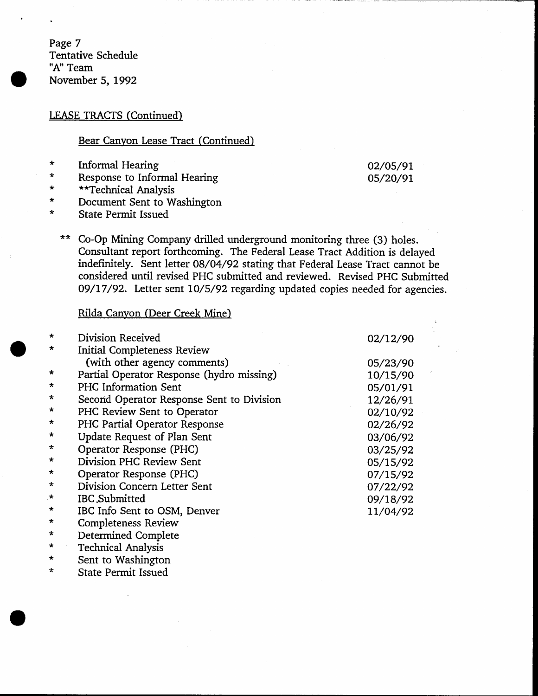Page 7 Tentative Schedule "A" Team November 5, 1992

#### LEASE TRACTS (Continued)

#### Bear Canyon Lease Tract (Continued)

- 
- 
- 
- \* Informal Hearing<br>
\* Response to Informal Hearing<br>
\* \* \*Technical Analysis<br>
\* Document Sent to Washington<br>
\* State Permit Issued
- 
- 02/os/9r os/20/9t
- $***$ Co-Op Mining Company drilled underground monitoring three (3) holes. Consultant report forthcoming. The Federal Lease Tract Addition is delayed indefinitely. Sent letter 08/04/92 stating that Federal Lease Tract cannot be considered until revised PHC submitted and reviewed. Revised PHC Submitted 09/17/92. Letter sent 10/5/92 regarding updated copies needed for agencies.

#### Rilda Canyon (Deer Creek Mine)

| $\star$ | Division Received                         | 02/12/90 |
|---------|-------------------------------------------|----------|
| ∗       | <b>Initial Completeness Review</b>        |          |
|         | (with other agency comments)              | 05/23/90 |
| $\star$ | Partial Operator Response (hydro missing) | 10/15/90 |
| $\star$ | PHC Information Sent                      | 05/01/91 |
| $\star$ | Second Operator Response Sent to Division | 12/26/91 |
| $\star$ | PHC Review Sent to Operator               | 02/10/92 |
| $\ast$  | PHC Partial Operator Response             | 02/26/92 |
| $\star$ | Update Request of Plan Sent               | 03/06/92 |
| $\star$ | Operator Response (PHC)                   | 03/25/92 |
| *       | Division PHC Review Sent                  | 05/15/92 |
| ∗       | Operator Response (PHC)                   | 07/15/92 |
| $\star$ | Division Concern Letter Sent              | 07/22/92 |
| $\star$ | IBC Submitted                             | 09/18/92 |
| $\star$ | IBC Info Sent to OSM, Denver              | 11/04/92 |
| $\star$ | <b>Completeness Review</b>                |          |
|         | Determined Complete                       |          |

Technical Analysis \*

Sent to Washington \*

 $\star$ State Permit lssued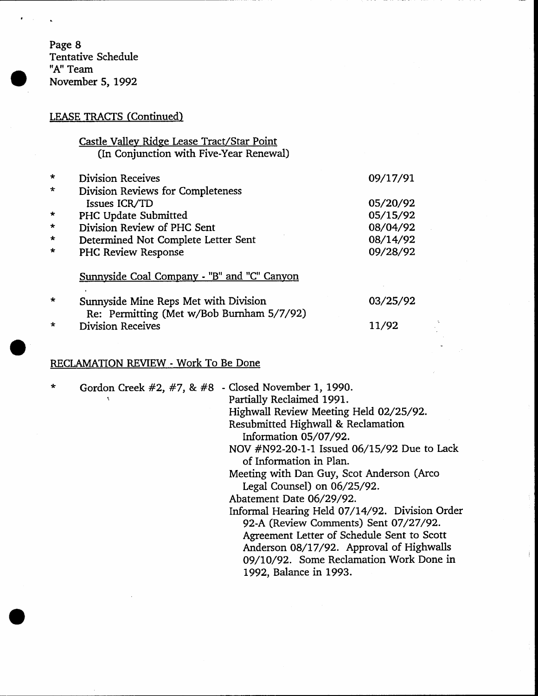Page 8 Tentative Schedule "A" Team November 5, 1992

## LEASE TRACTS (Continued)

| Castle Valley Ridge Lease Tract/Star Point |  |
|--------------------------------------------|--|
| (In Conjunction with Five-Year Renewal)    |  |

| $\star$ | <b>Division Receives</b>                    | 09/17/91 |
|---------|---------------------------------------------|----------|
| $\star$ | Division Reviews for Completeness           |          |
|         | Issues ICR/TD                               | 05/20/92 |
| $\star$ | PHC Update Submitted                        | 05/15/92 |
| $\star$ | Division Review of PHC Sent<br>08/04/92     |          |
| $\star$ | Determined Not Complete Letter Sent         | 08/14/92 |
| $\star$ | PHC Review Response                         | 09/28/92 |
|         | Sunnyside Coal Company - "B" and "C" Canyon |          |
|         | Sunnyside Mine Reps Met with Division       | 03/25/92 |

Re: Permitting (Met w/Bob Burnham 5/7/92) \* Division Receives

## RECLAMATION REVIEW - Work To Be Done

| $\star$ | Gordon Creek #2, #7, & #8 - Closed November 1, 1990. | Partially Reclaimed 1991.<br>Highwall Review Meeting Held 02/25/92.<br>Resubmitted Highwall & Reclamation<br>Information 05/07/92.<br>NOV #N92-20-1-1 Issued 06/15/92 Due to Lack<br>of Information in Plan.<br>Meeting with Dan Guy, Scot Anderson (Arco<br>Legal Counsel) on 06/25/92.<br>Abatement Date 06/29/92.<br>Informal Hearing Held 07/14/92. Division Order<br>92-A (Review Comments) Sent 07/27/92.<br>Agreement Letter of Schedule Sent to Scott<br>Anderson 08/17/92. Approval of Highwalls<br>09/10/92. Some Reclamation Work Done in<br>1992, Balance in 1993. |
|---------|------------------------------------------------------|--------------------------------------------------------------------------------------------------------------------------------------------------------------------------------------------------------------------------------------------------------------------------------------------------------------------------------------------------------------------------------------------------------------------------------------------------------------------------------------------------------------------------------------------------------------------------------|
|         |                                                      |                                                                                                                                                                                                                                                                                                                                                                                                                                                                                                                                                                                |

11/92

÷